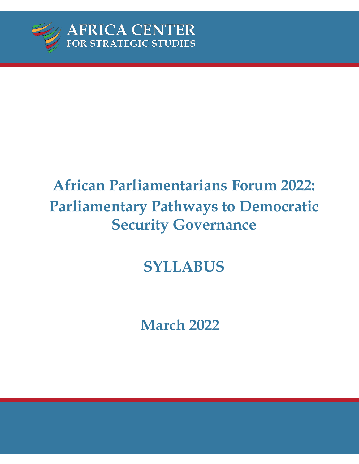

# **African Parliamentarians Forum 2022: Parliamentary Pathways to Democratic Security Governance**

## **SYLLABUS**

**March 2022**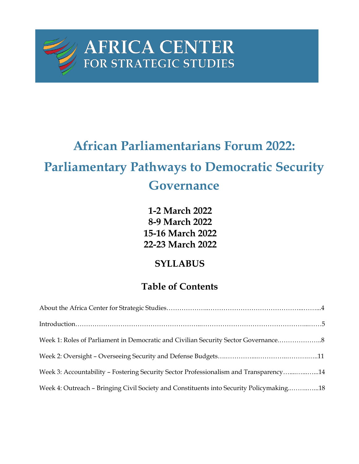

# AFRICA CENTER<br>FOR STRATEGIC STUDIES

## **African Parliamentarians Forum 2022: Parliamentary Pathways to Democratic Security Governance**

**1-2 March 2022 8-9 March 2022 15-16 March 2022 22-23 March 2022**

## **SYLLABUS**

### **Table of Contents**

| Week 1: Roles of Parliament in Democratic and Civilian Security Sector Governance       |  |
|-----------------------------------------------------------------------------------------|--|
|                                                                                         |  |
| Week 3: Accountability - Fostering Security Sector Professionalism and Transparency14   |  |
| Week 4: Outreach - Bringing Civil Society and Constituents into Security Policymaking18 |  |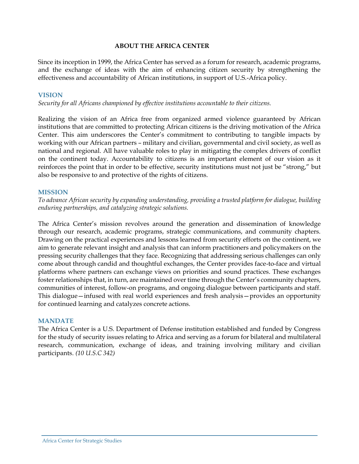#### **ABOUT THE AFRICA CENTER**

Since its inception in 1999, the Africa Center has served as a forum for research, academic programs, and the exchange of ideas with the aim of enhancing citizen security by strengthening the effectiveness and accountability of African institutions, in support of U.S.-Africa policy.

#### **VISION**

*Security for all Africans championed by effective institutions accountable to their citizens.*

Realizing the vision of an Africa free from organized armed violence guaranteed by African institutions that are committed to protecting African citizens is the driving motivation of the Africa Center. This aim underscores the Center's commitment to contributing to tangible impacts by working with our African partners – military and civilian, governmental and civil society, as well as national and regional. All have valuable roles to play in mitigating the complex drivers of conflict on the continent today. Accountability to citizens is an important element of our vision as it reinforces the point that in order to be effective, security institutions must not just be "strong," but also be responsive to and protective of the rights of citizens.

#### **MISSION**

*To advance African security by expanding understanding, providing a trusted platform for dialogue, building enduring partnerships, and catalyzing strategic solutions.*

The Africa Center's mission revolves around the generation and dissemination of knowledge through our research, academic programs, strategic communications, and community chapters. Drawing on the practical experiences and lessons learned from security efforts on the continent, we aim to generate relevant insight and analysis that can inform practitioners and policymakers on the pressing security challenges that they face. Recognizing that addressing serious challenges can only come about through candid and thoughtful exchanges, the Center provides face-to-face and virtual platforms where partners can exchange views on priorities and sound practices. These exchanges foster relationships that, in turn, are maintained over time through the Center's community chapters, communities of interest, follow-on programs, and ongoing dialogue between participants and staff. This dialogue—infused with real world experiences and fresh analysis—provides an opportunity for continued learning and catalyzes concrete actions.

#### **MANDATE**

The Africa Center is a U.S. Department of Defense institution established and funded by Congress for the study of security issues relating to Africa and serving as a forum for bilateral and multilateral research, communication, exchange of ideas, and training involving military and civilian participants. *(10 U.S.C 342)*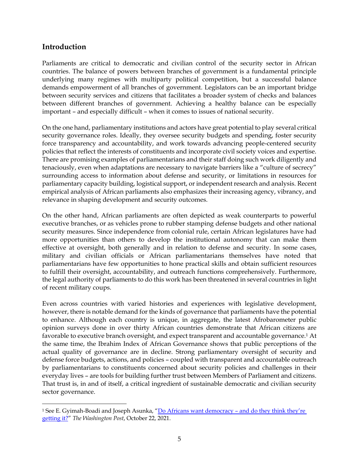#### **Introduction**

Parliaments are critical to democratic and civilian control of the security sector in African countries. The balance of powers between branches of government is a fundamental principle underlying many regimes with multiparty political competition, but a successful balance demands empowerment of all branches of government. Legislators can be an important bridge between security services and citizens that facilitates a broader system of checks and balances between different branches of government. Achieving a healthy balance can be especially important – and especially difficult – when it comes to issues of national security.

On the one hand, parliamentary institutions and actors have great potential to play several critical security governance roles. Ideally, they oversee security budgets and spending, foster security force transparency and accountability, and work towards advancing people-centered security policies that reflect the interests of constituents and incorporate civil society voices and expertise. There are promising examples of parliamentarians and their staff doing such work diligently and tenaciously, even when adaptations are necessary to navigate barriers like a "culture of secrecy" surrounding access to information about defense and security, or limitations in resources for parliamentary capacity building, logistical support, or independent research and analysis. Recent empirical analysis of African parliaments also emphasizes their increasing agency, vibrancy, and relevance in shaping development and security outcomes.

On the other hand, African parliaments are often depicted as weak counterparts to powerful executive branches, or as vehicles prone to rubber stamping defense budgets and other national security measures. Since independence from colonial rule, certain African legislatures have had more opportunities than others to develop the institutional autonomy that can make them effective at oversight, both generally and in relation to defense and security. In some cases, military and civilian officials or African parliamentarians themselves have noted that parliamentarians have few opportunities to hone practical skills and obtain sufficient resources to fulfill their oversight, accountability, and outreach functions comprehensively. Furthermore, the legal authority of parliaments to do this work has been threatened in several countries in light of recent military coups.

Even across countries with varied histories and experiences with legislative development, however, there is notable demand for the kinds of governance that parliaments have the potential to enhance. Although each country is unique, in aggregate, the latest Afrobarometer public opinion surveys done in over thirty African countries demonstrate that African citizens are favorable to executive branch oversight, and expect transparent and accountable governance.<sup>1</sup> At the same time, the Ibrahim Index of African Governance shows that public perceptions of the actual quality of governance are in decline. Strong parliamentary oversight of security and defense force budgets, actions, and policies – coupled with transparent and accountable outreach by parliamentarians to constituents concerned about security policies and challenges in their everyday lives – are tools for building further trust between Members of Parliament and citizens. That trust is, in and of itself, a critical ingredient of sustainable democratic and civilian security sector governance.

<sup>1</sup> See E. Gyimah-Boadi and Joseph Asunka, "[Do Africans want democracy](https://afrobarometer.org/blogs/do-africans-want-democracy-and-do-they-think-theyre-getting-it) – and do they think they're [getting](https://afrobarometer.org/blogs/do-africans-want-democracy-and-do-they-think-theyre-getting-it) it?" *The Washington Post*, October 22, 2021.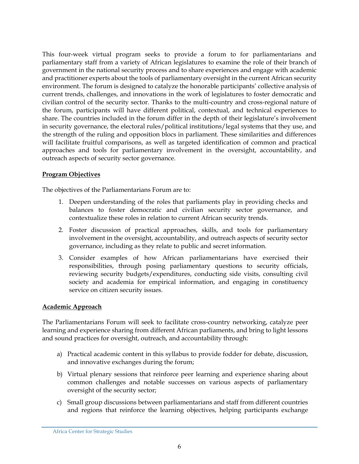This four-week virtual program seeks to provide a forum to for parliamentarians and parliamentary staff from a variety of African legislatures to examine the role of their branch of government in the national security process and to share experiences and engage with academic and practitioner experts about the tools of parliamentary oversight in the current African security environment. The forum is designed to catalyze the honorable participants' collective analysis of current trends, challenges, and innovations in the work of legislatures to foster democratic and civilian control of the security sector. Thanks to the multi-country and cross-regional nature of the forum, participants will have different political, contextual, and technical experiences to share. The countries included in the forum differ in the depth of their legislature's involvement in security governance, the electoral rules/political institutions/legal systems that they use, and the strength of the ruling and opposition blocs in parliament. These similarities and differences will facilitate fruitful comparisons, as well as targeted identification of common and practical approaches and tools for parliamentary involvement in the oversight, accountability, and outreach aspects of security sector governance.

#### **Program Objectives**

The objectives of the Parliamentarians Forum are to:

- 1. Deepen understanding of the roles that parliaments play in providing checks and balances to foster democratic and civilian security sector governance, and contextualize these roles in relation to current African security trends.
- 2. Foster discussion of practical approaches, skills, and tools for parliamentary involvement in the oversight, accountability, and outreach aspects of security sector governance, including as they relate to public and secret information.
- 3. Consider examples of how African parliamentarians have exercised their responsibilities, through posing parliamentary questions to security officials, reviewing security budgets/expenditures, conducting side visits, consulting civil society and academia for empirical information, and engaging in constituency service on citizen security issues.

#### **Academic Approach**

The Parliamentarians Forum will seek to facilitate cross-country networking, catalyze peer learning and experience sharing from different African parliaments, and bring to light lessons and sound practices for oversight, outreach, and accountability through:

- a) Practical academic content in this syllabus to provide fodder for debate, discussion, and innovative exchanges during the forum;
- b) Virtual plenary sessions that reinforce peer learning and experience sharing about common challenges and notable successes on various aspects of parliamentary oversight of the security sector;
- c) Small group discussions between parliamentarians and staff from different countries and regions that reinforce the learning objectives, helping participants exchange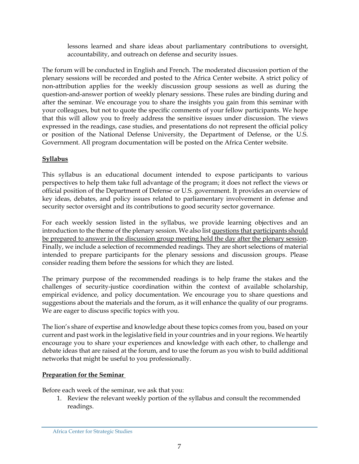lessons learned and share ideas about parliamentary contributions to oversight, accountability, and outreach on defense and security issues.

The forum will be conducted in English and French. The moderated discussion portion of the plenary sessions will be recorded and posted to the Africa Center website. A strict policy of non-attribution applies for the weekly discussion group sessions as well as during the question-and-answer portion of weekly plenary sessions. These rules are binding during and after the seminar. We encourage you to share the insights you gain from this seminar with your colleagues, but not to quote the specific comments of your fellow participants. We hope that this will allow you to freely address the sensitive issues under discussion. The views expressed in the readings, case studies, and presentations do not represent the official policy or position of the National Defense University, the Department of Defense, or the U.S. Government. All program documentation will be posted on the Africa Center website.

#### **Syllabus**

This syllabus is an educational document intended to expose participants to various perspectives to help them take full advantage of the program; it does not reflect the views or official position of the Department of Defense or U.S. government. It provides an overview of key ideas, debates, and policy issues related to parliamentary involvement in defense and security sector oversight and its contributions to good security sector governance.

For each weekly session listed in the syllabus, we provide learning objectives and an introduction to the theme of the plenary session. We also list questions that participants should be prepared to answer in the discussion group meeting held the day after the plenary session. Finally, we include a selection of recommended readings. They are short selections of material intended to prepare participants for the plenary sessions and discussion groups. Please consider reading them before the sessions for which they are listed.

The primary purpose of the recommended readings is to help frame the stakes and the challenges of security-justice coordination within the context of available scholarship, empirical evidence, and policy documentation. We encourage you to share questions and suggestions about the materials and the forum, as it will enhance the quality of our programs. We are eager to discuss specific topics with you.

The lion's share of expertise and knowledge about these topics comes from you, based on your current and past work in the legislative field in your countries and in your regions. We heartily encourage you to share your experiences and knowledge with each other, to challenge and debate ideas that are raised at the forum, and to use the forum as you wish to build additional networks that might be useful to you professionally.

#### **Preparation for the Seminar**

Before each week of the seminar, we ask that you:

1. Review the relevant weekly portion of the syllabus and consult the recommended readings.

Africa Center for Strategic Studies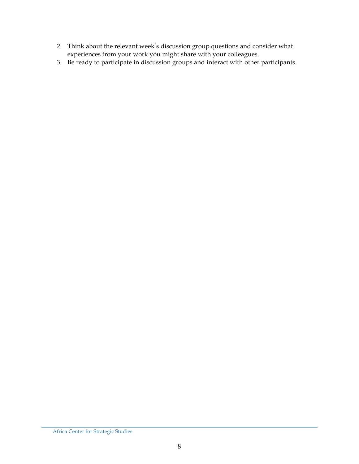- 2. Think about the relevant week's discussion group questions and consider what experiences from your work you might share with your colleagues.
- 3. Be ready to participate in discussion groups and interact with other participants.

Africa Center for Strategic Studies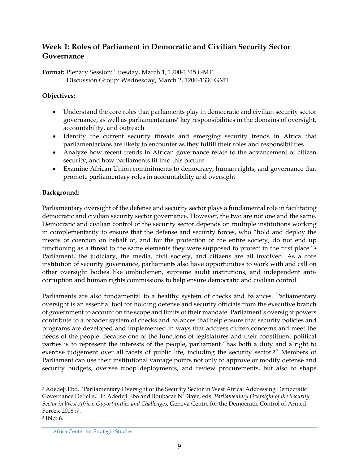#### **Week 1: Roles of Parliament in Democratic and Civilian Security Sector Governance**

**Format:** Plenary Session: Tuesday, March 1, 1200-1345 GMT Discussion Group: Wednesday, March 2, 1200-1330 GMT

#### **Objectives:**

- Understand the core roles that parliaments play in democratic and civilian security sector governance, as well as parliamentarians' key responsibilities in the domains of oversight, accountability, and outreach
- Identify the current security threats and emerging security trends in Africa that parliamentarians are likely to encounter as they fulfill their roles and responsibilities
- Analyze how recent trends in African governance relate to the advancement of citizen security, and how parliaments fit into this picture
- Examine African Union commitments to democracy, human rights, and governance that promote parliamentary roles in accountability and oversight

#### **Background:**

Parliamentary oversight of the defense and security sector plays a fundamental role in facilitating democratic and civilian security sector governance. However, the two are not one and the same. Democratic and civilian control of the security sector depends on multiple institutions working in complementarity to ensure that the defense and security forces, who "hold and deploy the means of coercion on behalf of, and for the protection of the entire society, do not end up functioning as a threat to the same elements they were supposed to protect in the first place."<sup>2</sup> Parliament, the judiciary, the media, civil society, and citizens are all involved. As a core institution of security governance, parliaments also have opportunities to work with and call on other oversight bodies like ombudsmen, supreme audit institutions, and independent anticorruption and human rights commissions to help ensure democratic and civilian control.

Parliaments are also fundamental to a healthy system of checks and balances. Parliamentary oversight is an essential tool for holding defense and security officials from the executive branch of government to account on the scope and limits of their mandate. Parliament's oversight powers contribute to a broader system of checks and balances that help ensure that security policies and programs are developed and implemented in ways that address citizen concerns and meet the needs of the people. Because one of the functions of legislatures and their constituent political parties is to represent the interests of the people, parliament "has both a duty and a right to exercise judgement over all facets of public life, including the security sector.3" Members of Parliament can use their institutional vantage points not only to approve or modify defense and security budgets, oversee troop deployments, and review procurements, but also to shape

<sup>2</sup> Adedeji Ebo, "Parliamentary Oversight of the Security Sector in West Africa: Addressing Democratic Governance Deficits," in Adedeji Ebo and Boubacar N'Diaye, eds. *Parliamentary Oversight of the Security Sector in West Africa: Opportunities and Challenges*, Geneva Centre for the Democratic Control of Armed Forces, 2008 :7.

 $3$  Ibid: 6.

Africa Center for Strategic Studies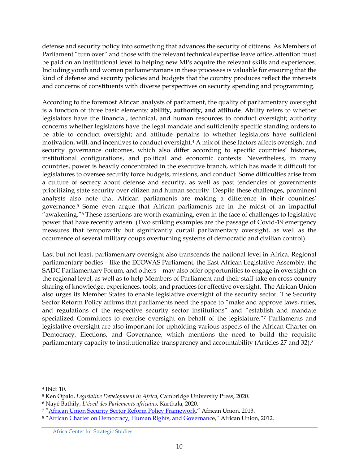defense and security policy into something that advances the security of citizens. As Members of Parliament "turn over" and those with the relevant technical expertise leave office, attention must be paid on an institutional level to helping new MPs acquire the relevant skills and experiences. Including youth and women parliamentarians in these processes is valuable for ensuring that the kind of defense and security policies and budgets that the country produces reflect the interests and concerns of constituents with diverse perspectives on security spending and programming.

According to the foremost African analysts of parliament, the quality of parliamentary oversight is a function of three basic elements: **ability, authority, and attitude**. Ability refers to whether legislators have the financial, technical, and human resources to conduct oversight; authority concerns whether legislators have the legal mandate and sufficiently specific standing orders to be able to conduct oversight; and attitude pertains to whether legislators have sufficient motivation, will, and incentives to conduct oversight.<sup>4</sup> A mix of these factors affects oversight and security governance outcomes, which also differ according to specific countries' histories, institutional configurations, and political and economic contexts. Nevertheless, in many countries, power is heavily concentrated in the executive branch, which has made it difficult for legislatures to oversee security force budgets, missions, and conduct. Some difficulties arise from a culture of secrecy about defense and security, as well as past tendencies of governments prioritizing state security over citizen and human security. Despite these challenges, prominent analysts also note that African parliaments are making a difference in their countries' governance.<sup>5</sup> Some even argue that African parliaments are in the midst of an impactful "awakening."<sup>6</sup> These assertions are worth examining, even in the face of challenges to legislative power that have recently arisen. (Two striking examples are the passage of Covid-19 emergency measures that temporarily but significantly curtail parliamentary oversight, as well as the occurrence of several military coups overturning systems of democratic and civilian control).

Last but not least, parliamentary oversight also transcends the national level in Africa. Regional parliamentary bodies – like the ECOWAS Parliament, the East African Legislative Assembly, the SADC Parliamentary Forum, and others – may also offer opportunities to engage in oversight on the regional level, as well as to help Members of Parliament and their staff take on cross-country sharing of knowledge, experiences, tools, and practices for effective oversight. The African Union also urges its Member States to enable legislative oversight of the security sector. The Security Sector Reform Policy affirms that parliaments need the space to "make and approve laws, rules, and regulations of the respective security sector institutions" and "establish and mandate specialized Committees to exercise oversight on behalf of the legislature."<sup>7</sup> Parliaments and legislative oversight are also important for upholding various aspects of the African Charter on Democracy, Elections, and Governance, which mentions the need to build the requisite parliamentary capacity to institutionalize transparency and accountability (Articles 27 and 32).<sup>8</sup>

<sup>4</sup> Ibid: 10.

<sup>5</sup> Ken Opalo, *Legislative Development in Africa*, Cambridge University Press, 2020.

<sup>6</sup> Nayé Bathily, *L'éveil des Parlements africains*, Karthala, 2020.

<sup>&</sup>lt;sup>7</sup> "[African Union Security Sector Reform Policy Framework](https://issat.dcaf.ch/download/60132/986021/AU_SSR_policy_framework_en.pdf)," African Union, 2013.

<sup>8</sup> "[African Charter on Democracy, Human Rights, and Governanc](https://au.int/sites/default/files/treaties/36384-treaty-african-charter-on-democracy-and-governance.pdf)e," African Union, 2012.

Africa Center for Strategic Studies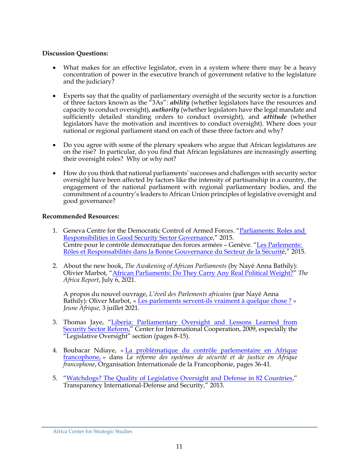#### **Discussion Questions:**

- What makes for an effective legislator, even in a system where there may be a heavy concentration of power in the executive branch of government relative to the legislature and the judiciary?
- Experts say that the quality of parliamentary oversight of the security sector is a function of three factors known as the "3As": *ability* (whether legislators have the resources and capacity to conduct oversight), *authority* (whether legislators have the legal mandate and sufficiently detailed standing orders to conduct oversight), and *attitude* (whether legislators have the motivation and incentives to conduct oversight). Where does your national or regional parliament stand on each of these three factors and why?
- Do you agree with some of the plenary speakers who argue that African legislatures are on the rise? In particular, do you find that African legislatures are increasingly asserting their oversight roles? Why or why not?
- How do you think that national parliaments' successes and challenges with security sector oversight have been affected by factors like the intensity of partisanship in a country, the engagement of the national parliament with regional parliamentary bodies, and the commitment of a country's leaders to African Union principles of legislative oversight and good governance?

#### **Recommended Resources:**

- 1. Geneva Centre for the Democratic Control of Armed Forces. "[Parliaments: Roles and](https://www.dcaf.ch/sites/default/files/publications/documents/DCAF_BG_8_Parliaments.11.15.pdf)  [Responsibilities in Good Security Sector](https://www.dcaf.ch/sites/default/files/publications/documents/DCAF_BG_8_Parliaments.11.15.pdf) Governance," 2015. Centre pour le contrôle démocratique des forces armées – Genève. "[Les Parlements:](http://www.dcaf-tunisie.org/adminDcaf/upload/ejournal/documentfr_10273.pdf)  [Rôles et Responsabilités dans la Bonne Gouvernance du Secteur de la Sécurit](http://www.dcaf-tunisie.org/adminDcaf/upload/ejournal/documentfr_10273.pdf)é," 2015.
- 2. About the new book, *The Awakening of African Parliaments* (by Nayé Anna Bathily): Olivier Marbot, "[African Parliaments: Do They Carry Any Real Political Weight?](https://www.theafricareport.com/105734/african-parliaments-do-they-carry-any-real-political-weight/)" *The Africa Report*, July 6, 2021.

A propos du nouvel ouvrage, *L'éveil des Parlements africains* (par Nayé Anna Bathily): Oliver Marbot, « [Les parlements servent-ils vraiment à quelque chose](https://www.jeuneafrique.com/1197058/politique/les-parlements-africains-servent-ils-vraiment-a-quelque-chose/) ? » *Jeune Afrique,* 3 juillet 2021.

- 3. Thomas Jaye, "[Liberia: Parliamentary Oversight and Lessons Learned from](https://issat.dcaf.ch/download/10645/106742/Liberia_SSR.pdf)  [Security Sector Reform](https://issat.dcaf.ch/download/10645/106742/Liberia_SSR.pdf)," Center for International Cooperation, 2009, especially the "Legislative Oversight" section (pages 8-15).
- 4. Boubacar Ndiaye, « [La problématique du contrôle parlementaire en Afrique](https://www.francophonie.org/sites/default/files/2020-01/reformes_systemes_securite.pdf)  [francophone,](https://www.francophonie.org/sites/default/files/2020-01/reformes_systemes_securite.pdf) » dans *La réforme des systèmes de sécurité et de justice en Afrique francophone*, Organisation Internationale de la Francophonie, pages 36-41.
- 5. "[Watchdogs? The Quality of Legislative Oversight and Defense in 82 Countries](http://ti-defence.org/wp-content/uploads/2016/03/Watchdogs-low.pdf)," Transparency International-Defense and Security," 2013.

Africa Center for Strategic Studies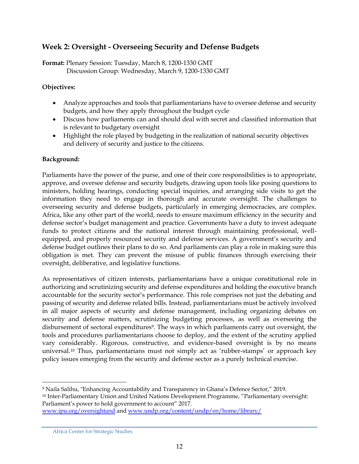#### **Week 2: Oversight - Overseeing Security and Defense Budgets**

**Format:** Plenary Session: Tuesday, March 8, 1200-1330 GMT Discussion Group: Wednesday, March 9, 1200-1330 GMT

#### **Objectives:**

- Analyze approaches and tools that parliamentarians have to oversee defense and security budgets, and how they apply throughout the budget cycle
- Discuss how parliaments can and should deal with secret and classified information that is relevant to budgetary oversight
- Highlight the role played by budgeting in the realization of national security objectives and delivery of security and justice to the citizens.

#### **Background:**

Parliaments have the power of the purse, and one of their core responsibilities is to appropriate, approve, and oversee defense and security budgets, drawing upon tools like posing questions to ministers, holding hearings, conducting special inquiries, and arranging side visits to get the information they need to engage in thorough and accurate oversight. The challenges to overseeing security and defense budgets, particularly in emerging democracies, are complex. Africa, like any other part of the world, needs to ensure maximum efficiency in the security and defense sector's budget management and practice. Governments have a duty to invest adequate funds to protect citizens and the national interest through maintaining professional, wellequipped, and properly resourced security and defense services. A government's security and defense budget outlines their plans to do so. And parliaments can play a role in making sure this obligation is met. They can prevent the misuse of public finances through exercising their oversight, deliberative, and legislative functions.

As representatives of citizen interests, parliamentarians have a unique constitutional role in authorizing and scrutinizing security and defense expenditures and holding the executive branch accountable for the security sector's performance. This role comprises not just the debating and passing of security and defense related bills. Instead, parliamentarians must be actively involved in all major aspects of security and defense management, including organizing debates on security and defense matters, scrutinizing budgeting processes, as well as overseeing the disbursement of sectoral expenditures<sup>9</sup>. The ways in which parliaments carry out oversight, the tools and procedures parliamentarians choose to deploy, and the extent of the scrutiny applied vary considerably. Rigorous, constructive, and evidence-based oversight is by no means universal. <sup>10</sup> Thus, parliamentarians must not simply act as 'rubber-stamps' or approach key policy issues emerging from the security and defense sector as a purely technical exercise.

<sup>9</sup> Naila Salihu, "Enhancing Accountability and Transparency in Ghana's Defence Sector," 2019. <sup>10</sup> Inter-Parliamentary Union and United Nations Development Programme, "Parliamentary oversight: Parliament's power to hold government to account" 2017. [www.ipu.org/oversightand](http://www.ipu.org/oversightand) an[d www.undp.org/content/undp/en/home/library/](http://www.undp.org/content/undp/en/home/library/)

Africa Center for Strategic Studies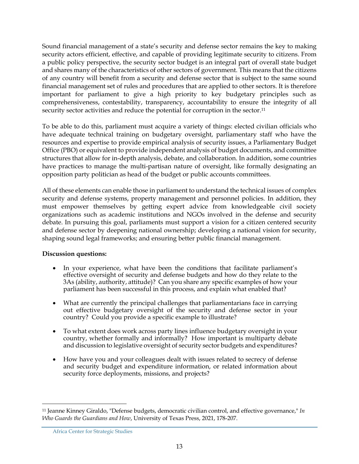Sound financial management of a state's security and defense sector remains the key to making security actors efficient, effective, and capable of providing legitimate security to citizens. From a public policy perspective, the security sector budget is an integral part of overall state budget and shares many of the characteristics of other sectors of government. This means that the citizens of any country will benefit from a security and defense sector that is subject to the same sound financial management set of rules and procedures that are applied to other sectors. It is therefore important for parliament to give a high priority to key budgetary principles such as comprehensiveness, contestability, transparency, accountability to ensure the integrity of all security sector activities and reduce the potential for corruption in the sector.<sup>11</sup>

To be able to do this, parliament must acquire a variety of things: elected civilian officials who have adequate technical training on budgetary oversight, parliamentary staff who have the resources and expertise to provide empirical analysis of security issues, a Parliamentary Budget Office (PBO) or equivalent to provide independent analysis of budget documents, and committee structures that allow for in-depth analysis, debate, and collaboration. In addition, some countries have practices to manage the multi-partisan nature of oversight, like formally designating an opposition party politician as head of the budget or public accounts committees.

All of these elements can enable those in parliament to understand the technical issues of complex security and defense systems, property management and personnel policies. In addition, they must empower themselves by getting expert advice from knowledgeable civil society organizations such as academic institutions and NGOs involved in the defense and security debate. In pursuing this goal, parliaments must support a vision for a citizen centered security and defense sector by deepening national ownership; developing a national vision for security, shaping sound legal frameworks; and ensuring better public financial management.

#### **Discussion questions:**

- In your experience, what have been the conditions that facilitate parliament's effective oversight of security and defense budgets and how do they relate to the 3As (ability, authority, attitude)? Can you share any specific examples of how your parliament has been successful in this process, and explain what enabled that?
- What are currently the principal challenges that parliamentarians face in carrying out effective budgetary oversight of the security and defense sector in your country? Could you provide a specific example to illustrate?
- To what extent does work across party lines influence budgetary oversight in your country, whether formally and informally? How important is multiparty debate and discussion to legislative oversight of security sector budgets and expenditures?
- How have you and your colleagues dealt with issues related to secrecy of defense and security budget and expenditure information, or related information about security force deployments, missions, and projects?

<sup>11</sup> Jeanne Kinney Giraldo, "Defense budgets, democratic civilian control, and effective governance," *In Who Guards the Guardians and How*, University of Texas Press, 2021, 178-207.

Africa Center for Strategic Studies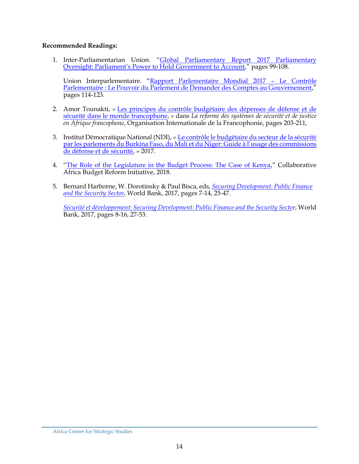#### **Recommended Readings:**

1. Inter-Parliamentarian Union. "Global Parliamentary Report 2017 Parliamentary Overs[ight: Parliament's Power to Hold Government to Account,](https://www.ipu.org/resources/publications/reports/2017-10/global-parliamentary-report-2017-parliamentary-oversight-parliaments-power-hold-government-account)" pages 99-108.

Union Interparlementaire. "[Rapport Parlementaire Mondial 2017](https://www.ipu.org/fr/ressources/publications/propos-de-luip/2018-03/rapport-annuel-dactivites-de-lunion-interparlementaire-2017) - Le Contrôle [Parlementaire : Le Pouvoir du Parlement de Demander des Comptes au Gouvernement](https://www.ipu.org/fr/ressources/publications/propos-de-luip/2018-03/rapport-annuel-dactivites-de-lunion-interparlementaire-2017)," pages 114-123.

- 2. Amor Tounakti, « [Les principes du contrôle budgétaire des dépenses de défense et de](https://www.francophonie.org/sites/default/files/2020-01/reformes_systemes_securite.pdf)  [sécurité dans le monde francophone,](https://www.francophonie.org/sites/default/files/2020-01/reformes_systemes_securite.pdf) » dans *La reforme des systèmes de sécurité et de justice en Afrique francophone*, Organisation Internationale de la Francophonie, pages 203-211,
- 3. Institut Démocratique National (NDI), « Le contrôle le budgétaire du secteur de la sécurité [par les parlements du Burkina Faso, du Mali et du Niger: Guide à l'usage des commissi](https://www.ndi.org/sites/default/files/NDI%20Guide%20Controle%20Budgetaire%20Secteur%20Securite_CDS.pdf)ons [de défense et de sécurité,](https://www.ndi.org/sites/default/files/NDI%20Guide%20Controle%20Budgetaire%20Secteur%20Securite_CDS.pdf) » 2017.
- 4. "[The Role of the Legislature in the Budget Process: The Case of Kenya](https://www.cabri-sbo.org/en/publications/the-role-of-the-legislature-in-the-budget-process-kenya)," Collaborative Africa Budget Reform Initiative, 2018.
- 5. Bernard Harborne, W. Dorotinsky & Paul Bisca, eds, *[Securing Development: Public Finance](https://openknowledge.worldbank.org/handle/10986/25138)  [and the Security Sector](https://openknowledge.worldbank.org/handle/10986/25138)*, World Bank, 2017, pages 7-14, 25-47.

*[Sécurité et développement: Securing Development: Public Finance and the Security Sector](https://openknowledge.worldbank.org/bitstream/handle/10986/25138/210766ovFR.pdf?sequence=4)*, World Bank, 2017, pages 8-16, 27-53.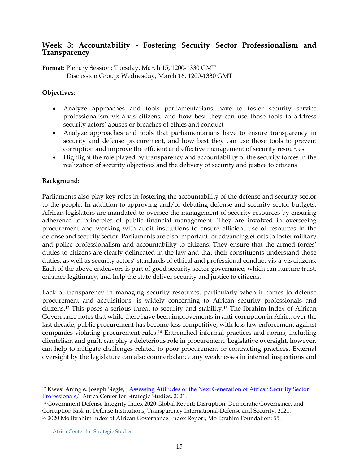#### **Week 3: Accountability - Fostering Security Sector Professionalism and Transparency**

**Format:** Plenary Session: Tuesday, March 15, 1200-1330 GMT Discussion Group: Wednesday, March 16, 1200-1330 GMT

#### **Objectives:**

- Analyze approaches and tools parliamentarians have to foster security service professionalism vis-à-vis citizens, and how best they can use those tools to address security actors' abuses or breaches of ethics and conduct
- Analyze approaches and tools that parliamentarians have to ensure transparency in security and defense procurement, and how best they can use those tools to prevent corruption and improve the efficient and effective management of security resources
- Highlight the role played by transparency and accountability of the security forces in the realization of security objectives and the delivery of security and justice to citizens

#### **Background:**

Parliaments also play key roles in fostering the accountability of the defense and security sector to the people. In addition to approving and/or debating defense and security sector budgets, African legislators are mandated to oversee the management of security resources by ensuring adherence to principles of public financial management. They are involved in overseeing procurement and working with audit institutions to ensure efficient use of resources in the defense and security sector. Parliaments are also important for advancing efforts to foster military and police professionalism and accountability to citizens. They ensure that the armed forces' duties to citizens are clearly delineated in the law and that their constituents understand those duties, as well as security actors' standards of ethical and professional conduct vis-à-vis citizens. Each of the above endeavors is part of good security sector governance, which can nurture trust, enhance legitimacy, and help the state deliver security and justice to citizens.

Lack of transparency in managing security resources, particularly when it comes to defense procurement and acquisitions, is widely concerning to African security professionals and citizens. <sup>12</sup> This poses a serious threat to security and stability. <sup>13</sup> The Ibrahim Index of African Governance notes that while there have been improvements in anti-corruption in Africa over the last decade, public procurement has become less competitive, with less law enforcement against companies violating procurement rules.<sup>14</sup> Entrenched informal practices and norms, including clientelism and graft, can play a deleterious role in procurement. Legislative oversight, however, can help to mitigate challenges related to poor procurement or contracting practices. External oversight by the legislature can also counterbalance any weaknesses in internal inspections and

<sup>12</sup> Kwesi Aning & Joseph Siegle, "[Assessing Attitudes of the Next Generation of African Security Sector](https://africacenter.org/wp-content/uploads/2021/07/ARB07EN-Assessing-Attitudes-of-the-Next-Generation-of-African-Security-Sector-Professionals.pdf.)  [Professionals](https://africacenter.org/wp-content/uploads/2021/07/ARB07EN-Assessing-Attitudes-of-the-Next-Generation-of-African-Security-Sector-Professionals.pdf.)," Africa Center for Strategic Studies, 2021.

<sup>13</sup> Government Defense Integrity Index 2020 Global Report: Disruption, Democratic Governance, and Corruption Risk in Defense Institutions, Transparency International-Defense and Security, 2021. <sup>14</sup> 2020 Mo Ibrahim Index of African Governance: Index Report, Mo Ibrahim Foundation: 55.

Africa Center for Strategic Studies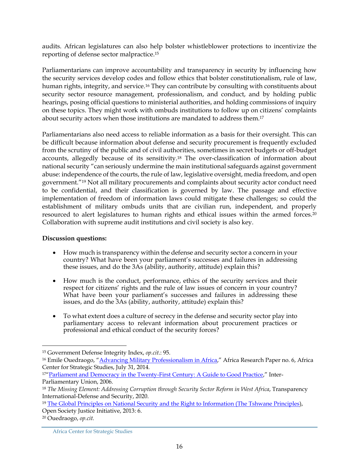audits. African legislatures can also help bolster whistleblower protections to incentivize the reporting of defense sector malpractice. 15

Parliamentarians can improve accountability and transparency in security by influencing how the security services develop codes and follow ethics that bolster constitutionalism, rule of law, human rights, integrity, and service.<sup>16</sup> They can contribute by consulting with constituents about security sector resource management, professionalism, and conduct, and by holding public hearings, posing official questions to ministerial authorities, and holding commissions of inquiry on these topics. They might work with ombuds institutions to follow up on citizens' complaints about security actors when those institutions are mandated to address them.<sup>17</sup>

Parliamentarians also need access to reliable information as a basis for their oversight. This can be difficult because information about defense and security procurement is frequently excluded from the scrutiny of the public and of civil authorities, sometimes in secret budgets or off-budget accounts, allegedly because of its sensitivity.<sup>18</sup> The over-classification of information about national security "can seriously undermine the main institutional safeguards against government abuse: independence of the courts, the rule of law, legislative oversight, media freedom, and open government."<sup>19</sup> Not all military procurements and complaints about security actor conduct need to be confidential, and their classification is governed by law. The passage and effective implementation of freedom of information laws could mitigate these challenges; so could the establishment of military ombuds units that are civilian run, independent, and properly resourced to alert legislatures to human rights and ethical issues within the armed forces.<sup>20</sup> Collaboration with supreme audit institutions and civil society is also key.

#### **Discussion questions:**

- How much is transparency within the defense and security sector a concern in your country? What have been your parliament's successes and failures in addressing these issues, and do the 3As (ability, authority, attitude) explain this?
- How much is the conduct, performance, ethics of the security services and their respect for citizens' rights and the rule of law issues of concern in your country? What have been your parliament's successes and failures in addressing these issues, and do the 3As (ability, authority, attitude) explain this?
- To what extent does a culture of secrecy in the defense and security sector play into parliamentary access to relevant information about procurement practices or professional and ethical conduct of the security forces?

<sup>15</sup> Government Defense Integrity Index, *op.cit*.: 95.

<sup>&</sup>lt;sup>16</sup> Emile Ouedraogo, "[Advancing Military Professionalism in Africa](https://africacenter.org/publication/advancing-military-professionalism-in-africa/)," Africa Research Paper no. 6, Africa Center for Strategic Studies, July 31, 2014.

<sup>17&</sup>quot; [Parliament and Democracy in the Twenty-First Century: A Guide to Good Practice,](http://archive.ipu.org/dem-e/guide/guide-4.htm)" Inter-Parliamentary Union, 2006.

<sup>18</sup> *The Missing Element: Addressing Corruption through Security Sector Reform in West Africa*, Transparency International-Defense and Security, 2020.

<sup>19</sup> [The Global Principles on National Security and the Right to Information \(The Tshwane Principles\)](https://www.justiceinitiative.org/uploads/bd50b729-d427-4fbb-8da2-1943ef2a3423/global-principles-national-security-10232013.pdf), Open Society Justice Initiative, 2013: 6.

<sup>20</sup> Ouedraogo, *op.cit.*

Africa Center for Strategic Studies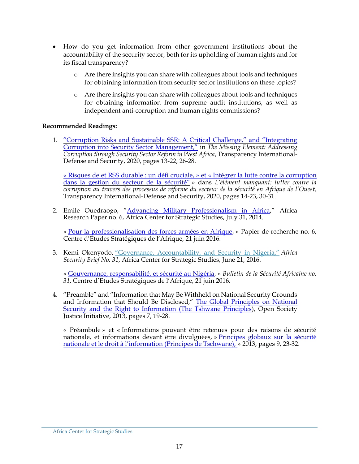- How do you get information from other government institutions about the accountability of the security sector, both for its upholding of human rights and for its fiscal transparency?
	- o Are there insights you can share with colleagues about tools and techniques for obtaining information from security sector institutions on these topics?
	- o Are there insights you can share with colleagues about tools and techniques for obtaining information from supreme audit institutions, as well as independent anti-corruption and human rights commissions?

#### **Recommended Readings:**

1. ["Corruption Risks and Sustainable SSR: A Critical Challenge," and "Integrating](https://ti-defence.org/wp-content/uploads/2021/02/SSR_in_WA_ENG_Report_v1.2.pdf)  [Corruption into Security Sector Management,"](https://ti-defence.org/wp-content/uploads/2021/02/SSR_in_WA_ENG_Report_v1.2.pdf) in *The Missing Element: Addressing Corruption through Security Sector Reform in West Africa*, Transparency International-Defense and Security, 2020, pages 13-22, 26-28.

« Risques de et RSS durable : un défi cruciale, » et « [Intégrer la lutte contre la corruption](https://ti-defence.org/wp-content/uploads/2021/02/SSR_in_WA_FR_Report_v1.2.pdf)  [dans la gestion du secteur de la sécurité](https://ti-defence.org/wp-content/uploads/2021/02/SSR_in_WA_FR_Report_v1.2.pdf)" » dans *L'élément manquant: lutter contre la corruption au travers des processus de réforme du secteur de la sécurité en Afrique de l'Ouest,*  Transparency International-Defense and Security, 2020, pages 14-23, 30-31.

2. Emile Ouedraogo, "[Advancing Military Professionalism in Africa](https://africacenter.org/publication/advancing-military-professionalism-in-africa/)," Africa Research Paper no. 6, Africa Center for Strategic Studies, July 31, 2014.

« [Pour la professionalisation des forces armées en Afrique,](https://africacenter.org/wp-content/uploads/2016/06/ARP06FR-Pour-la-professionnalisation-des-forces-arm%C3%A9es-en-Afrique.pdf) » Papier de recherche no. 6, Centre d'Etudes Stratégiques de l'Afrique, 21 juin 2016.

3. Kemi Okenyodo, ["Governance, Accountability, and Security in Nigeria,"](https://africacenter.org/publication/governance-accountability-security-nigeria-html/) *Africa Security Brief No. 31*, Africa Center for Strategic Studies, June 21, 2016.

« [Gouvernance, responsabilité, et sécurité au Nigéria,](https://africacenter.org/fr/publication/gouvernance-responsabilisation-securite-nigeria/) » *Bulletin de la Sécurité Africaine no. 31*, Centre d'Etudes Stratégiques de l'Afrique, 21 juin 2016.

4. "Preamble" and "Information that May Be Withheld on National Security Grounds and Information that Should Be Disclosed," [The Global Principles on National](https://www.justiceinitiative.org/uploads/bd50b729-d427-4fbb-8da2-1943ef2a3423/global-principles-national-security-10232013.pdf)  [Security and the Right to Information \(The Tshwane Principles\)](https://www.justiceinitiative.org/uploads/bd50b729-d427-4fbb-8da2-1943ef2a3423/global-principles-national-security-10232013.pdf), Open Society Justice Initiative, 2013, pages 7, 19-28.

« Préambule » et « Informations pouvant être retenues pour des raisons de sécurité nationale, et informations devant être divulguées, » [Principes globaux sur la sécurité](https://www.justiceinitiative.org/uploads/7a3ed0c9-a694-4843-8a1a-0790e749c9d0/tshwane-french-20150209_0.pdf)  [nationale et le droit à l'information \(Principes de Tschwane\),](https://www.justiceinitiative.org/uploads/7a3ed0c9-a694-4843-8a1a-0790e749c9d0/tshwane-french-20150209_0.pdf) » 2013, pages 9, 23-32.

Africa Center for Strategic Studies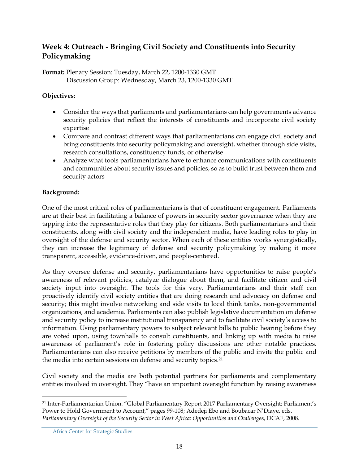#### **Week 4: Outreach - Bringing Civil Society and Constituents into Security Policymaking**

**Format:** Plenary Session: Tuesday, March 22, 1200-1330 GMT Discussion Group: Wednesday, March 23, 1200-1330 GMT

#### **Objectives:**

- Consider the ways that parliaments and parliamentarians can help governments advance security policies that reflect the interests of constituents and incorporate civil society expertise
- Compare and contrast different ways that parliamentarians can engage civil society and bring constituents into security policymaking and oversight, whether through side visits, research consultations, constituency funds, or otherwise
- Analyze what tools parliamentarians have to enhance communications with constituents and communities about security issues and policies, so as to build trust between them and security actors

#### **Background:**

One of the most critical roles of parliamentarians is that of constituent engagement. Parliaments are at their best in facilitating a balance of powers in security sector governance when they are tapping into the representative roles that they play for citizens. Both parliamentarians and their constituents, along with civil society and the independent media, have leading roles to play in oversight of the defense and security sector. When each of these entities works synergistically, they can increase the legitimacy of defense and security policymaking by making it more transparent, accessible, evidence-driven, and people-centered.

As they oversee defense and security, parliamentarians have opportunities to raise people's awareness of relevant policies, catalyze dialogue about them, and facilitate citizen and civil society input into oversight. The tools for this vary. Parliamentarians and their staff can proactively identify civil society entities that are doing research and advocacy on defense and security; this might involve networking and side visits to local think tanks, non-governmental organizations, and academia. Parliaments can also publish legislative documentation on defense and security policy to increase institutional transparency and to facilitate civil society's access to information. Using parliamentary powers to subject relevant bills to public hearing before they are voted upon, using townhalls to consult constituents, and linking up with media to raise awareness of parliament's role in fostering policy discussions are other notable practices. Parliamentarians can also receive petitions by members of the public and invite the public and the media into certain sessions on defense and security topics. 21

Civil society and the media are both potential partners for parliaments and complementary entities involved in oversight. They "have an important oversight function by raising awareness

<sup>21</sup> Inter-Parliamentarian Union. "Global Parliamentary Report 2017 Parliamentary Oversight: Parliament's Power to Hold Government to Account," pages 99-108; Adedeji Ebo and Boubacar N'Diaye, eds. *Parliamentary Oversight of the Security Sector in West Africa: Opportunities and Challenge*s, DCAF, 2008.

Africa Center for Strategic Studies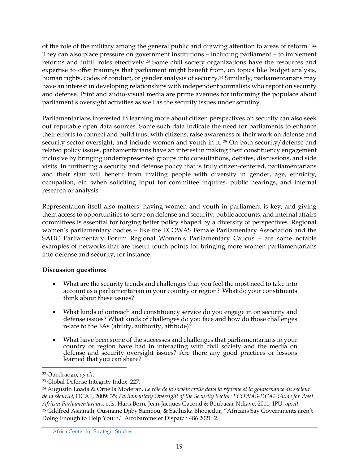of the role of the military among the general public and drawing attention to areas of reform."<sup>22</sup> They can also place pressure on government institutions – including parliament – to implement reforms and fulfill roles effectively. <sup>23</sup> Some civil society organizations have the resources and expertise to offer trainings that parliament might benefit from, on topics like budget analysis, human rights, codes of conduct, or gender analysis of security.<sup>24</sup> Similarly, parliamentarians may have an interest in developing relationships with independent journalists who report on security and defense. Print and audio-visual media are prime avenues for informing the populace about parliament's oversight activities as well as the security issues under scrutiny.

Parliamentarians interested in learning more about citizen perspectives on security can also seek out reputable open data sources. Some such data indicate the need for parliaments to enhance their efforts to connect and build trust with citizens, raise awareness of their work on defense and security sector oversight, and include women and youth in it.<sup>25</sup> On both security/defense and related policy issues, parliamentarians have an interest in making their constituency engagement inclusive by bringing underrepresented groups into consultations, debates, discussions, and side visits. In furthering a security and defense policy that is truly citizen-centered, parliamentarians and their staff will benefit from inviting people with diversity in gender, age, ethnicity, occupation, etc. when soliciting input for committee inquires, public hearings, and internal research or analysis.

Representation itself also matters: having women and youth in parliament is key, and giving them access to opportunities to serve on defense and security, public accounts, and internal affairs committees is essential for forging better policy shaped by a diversity of perspectives. Regional women's parliamentary bodies – like the ECOWAS Female Parliamentary Association and the SADC Parliamentary Forum Regional Women's Parliamentary Caucus – are some notable examples of networks that are useful touch points for bringing more women parliamentarians into defense and security, for instance.

#### **Discussion questions:**

- What are the security trends and challenges that you feel the most need to take into account as a parliamentarian in your country or region? What do your constituents think about these issues?
- What kinds of outreach and constituency service do you engage in on security and defense issues? What kinds of challenges do you face and how do those challenges relate to the 3As (ability, authority, attitude)?
- What have been some of the successes and challenges that parliamentarians in your country or region have had in interacting with civil society and the media on defense and security oversight issues? Are there any good practices or lessons learned that you can share?

<sup>22</sup> Ouedraogo, *op.cit.*

<sup>23</sup> Global Defense Integrity Index: 227.

<sup>24</sup> Augustin Loada & Ornella Moderan, *Le rôle de la société civile dans la réforme et la gouvernance du secteur de la sécurité*, DCAF, 2009: 35; *Parliamentary Oversight of the Security Sector: ECOWAS-DCAF Guide for West African Parliamentarians*, eds. Hans Born, Jean-Jacques Gacond & Boubacar Ndiaye, 2011; IPU, *op.cit.* <sup>25</sup> Gildfred Asiamah, Ousmane Djiby Sambou, & Sadhiska Bhoojedur, "Africans Say Governments aren't Doing Enough to Help Youth," Afrobarometer Dispatch 486 2021: 2.

Africa Center for Strategic Studies